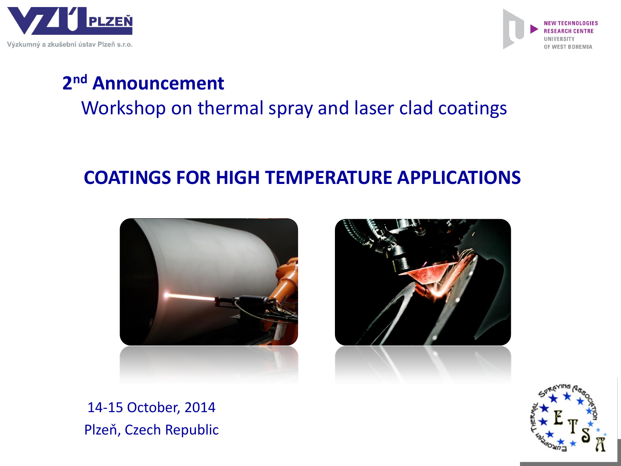



# **2 nd Announcement**

Workshop on thermal spray and laser clad coatings

## **COATINGS FOR HIGH TEMPERATURE APPLICATIONS**





14-15 October, 2014 Plzeň, Czech Republic

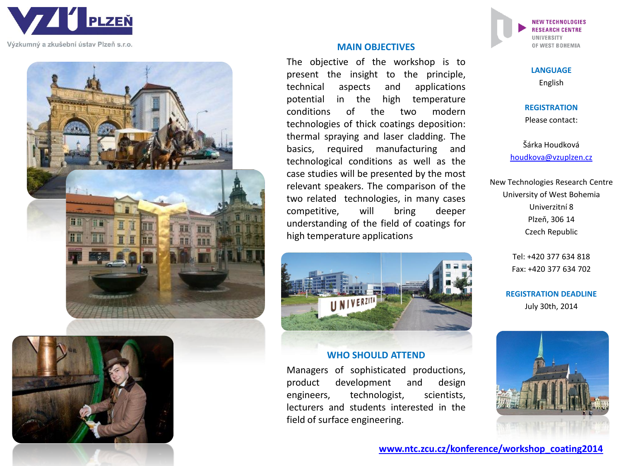

Výzkumný a zkušební ústav Plzeň s.r.o.





#### **MAIN OBJECTIVES**

The objective of the workshop is to present the insight to the principle, technical aspects and applications potential in the high temperature conditions of the two modern technologies of thick coatings deposition: thermal spraying and laser cladding. The basics, required manufacturing and technological conditions as well as the case studies will be presented by the most relevant speakers. The comparison of the two related technologies, in many cases competitive, will bring deeper understanding of the field of coatings for high temperature applications



#### **WHO SHOULD ATTEND**

Managers of sophisticated productions, product development and design engineers, technologist, scientists, lecturers and students interested in the field of surface engineering.

**NEW TECHNOLOGIES RESEARCH CENTRE UNIVERSITY** OF WEST BOHEMIA

> **LANGUAGE**  English

**REGISTRATION**

Please contact:

Šárka Houdková [houdkova@vzuplzen.cz](mailto:houdkov@vzuplzen.cz)

New Technologies Research Centre University of West Bohemia Univerzitní 8 Plzeň, 306 14 Czech Republic

> Tel: +420 377 634 818 Fax: +420 377 634 702

**REGISTRATION DEADLINE** July 30th, 2014

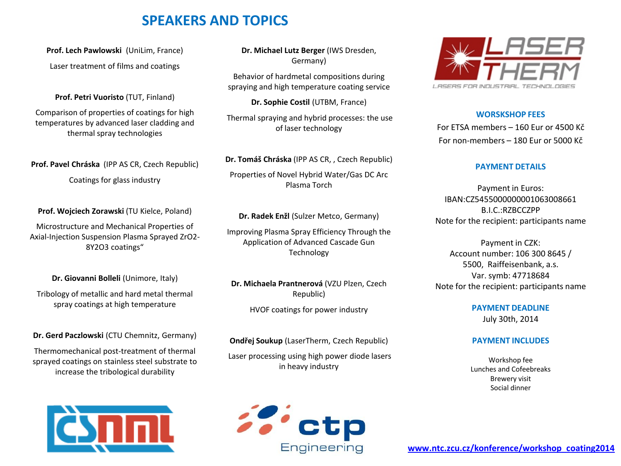## **SPEAKERS AND TOPICS**

**Prof. Lech Pawlowski** (UniLim, France) Laser treatment of films and coatings

**Prof. Petri Vuoristo** (TUT, Finland)

Comparison of properties of coatings for high temperatures by advanced laser cladding and thermal spray technologies

**Prof. Pavel Chráska** (IPP AS CR, Czech Republic) Coatings for glass industry

**Prof. Wojciech Zorawski** (TU Kielce, Poland)

Microstructure and Mechanical Properties of Axial-Injection Suspension Plasma Sprayed ZrO2- 8Y2O3 coatings"

**Dr. Giovanni Bolleli** (Unimore, Italy)

Tribology of metallic and hard metal thermal spray coatings at high temperature

**Dr. Gerd Paczlowski** (CTU Chemnitz, Germany)

Thermomechanical post-treatment of thermal sprayed coatings on stainless steel substrate to increase the tribological durability



**Dr. Michael Lutz Berger** (IWS Dresden, Germany)

Behavior of hardmetal compositions during spraying and high temperature coating service

**Dr. Sophie Costil** (UTBM, France)

Thermal spraying and hybrid processes: the use of laser technology

**Dr. Tomáš Chráska** (IPP AS CR, , Czech Republic) Properties of Novel Hybrid Water/Gas DC Arc Plasma Torch

**Dr. Radek Enžl** (Sulzer Metco, Germany)

Improving Plasma Spray Efficiency Through the Application of Advanced Cascade Gun Technology

**Dr. Michaela Prantnerová** (VZU Plzen, Czech Republic)

HVOF coatings for power industry

**Ondřej Soukup** (LaserTherm, Czech Republic)

Laser processing using high power diode lasers in heavy industry





#### **WORSKSHOP FEES**

For ETSA members – 160 Eur or 4500 Kč For non-members – 180 Eur or 5000 Kč

#### **PAYMENT DETAILS**

Payment in Euros: IBAN:CZ5455000000001063008661 B.I.C.:RZBCCZPP Note for the recipient: participants name

Payment in CZK: Account number: 106 300 8645 / 5500, Raiffeisenbank, a.s. Var. symb: 47718684 Note for the recipient: participants name

> **PAYMENT DEADLINE** July 30th, 2014

#### **PAYMENT INCLUDES**

Workshop fee Lunches and Cofeebreaks Brewery visit Social dinner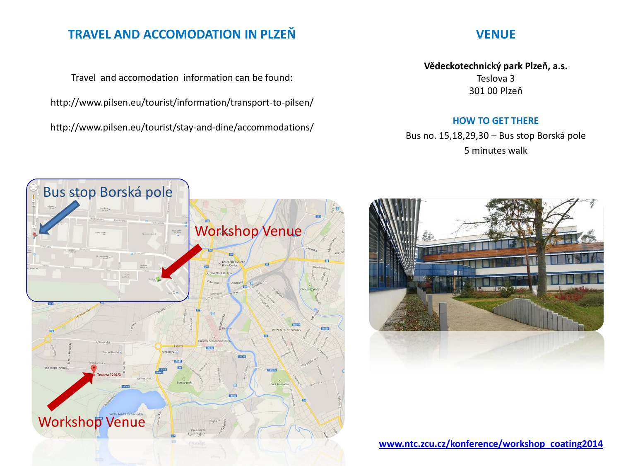## **TRAVEL AND ACCOMODATION IN PLZEŇ**

Travel and accomodation information can be found: http://www.pilsen.eu/tourist/information/transport-to-pilsen/ http://www.pilsen.eu/tourist/stay-and-dine/accommodations/

### **VENUE**

**Vědeckotechnický park Plzeň, a.s.** Teslova 3 301 00 Plzeň

#### **HOW TO GET THERE**

Bus no. 15,18,29,30 – Bus stop Borská pole 5 minutes walk





**[www.ntc.zcu.cz/konference/workshop\\_coating2014](http://www.ntc.zcu.cz/konference/workshop_coating2014)**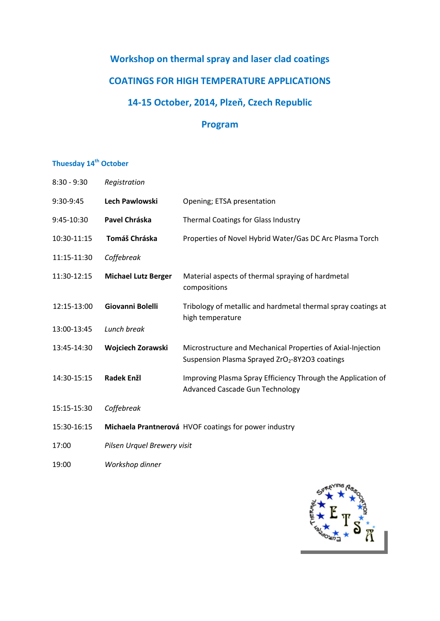## **Workshop on thermal spray and laser clad coatings COATINGS FOR HIGH TEMPERATURE APPLICATIONS 14-15 October, 2014, Plzeň, Czech Republic**

### **Program**

## **Thuesday 14th October**

| $8:30 - 9:30$ | Registration                                          |                                                                                                                           |
|---------------|-------------------------------------------------------|---------------------------------------------------------------------------------------------------------------------------|
| 9:30-9:45     | <b>Lech Pawlowski</b>                                 | Opening; ETSA presentation                                                                                                |
| 9:45-10:30    | Pavel Chráska                                         | Thermal Coatings for Glass Industry                                                                                       |
| 10:30-11:15   | Tomáš Chráska                                         | Properties of Novel Hybrid Water/Gas DC Arc Plasma Torch                                                                  |
| 11:15-11:30   | Coffebreak                                            |                                                                                                                           |
| 11:30-12:15   | <b>Michael Lutz Berger</b>                            | Material aspects of thermal spraying of hardmetal<br>compositions                                                         |
| 12:15-13:00   | Giovanni Bolelli                                      | Tribology of metallic and hardmetal thermal spray coatings at<br>high temperature                                         |
| 13:00-13:45   | Lunch break                                           |                                                                                                                           |
| 13:45-14:30   | Wojciech Zorawski                                     | Microstructure and Mechanical Properties of Axial-Injection<br>Suspension Plasma Sprayed ZrO <sub>2</sub> -8Y2O3 coatings |
| 14:30-15:15   | <b>Radek Enžl</b>                                     | Improving Plasma Spray Efficiency Through the Application of<br><b>Advanced Cascade Gun Technology</b>                    |
| 15:15-15:30   | Coffebreak                                            |                                                                                                                           |
| 15:30-16:15   | Michaela Prantnerová HVOF coatings for power industry |                                                                                                                           |
| 17:00         | Pilsen Urquel Brewery visit                           |                                                                                                                           |
| 19:00         | Workshop dinner                                       |                                                                                                                           |